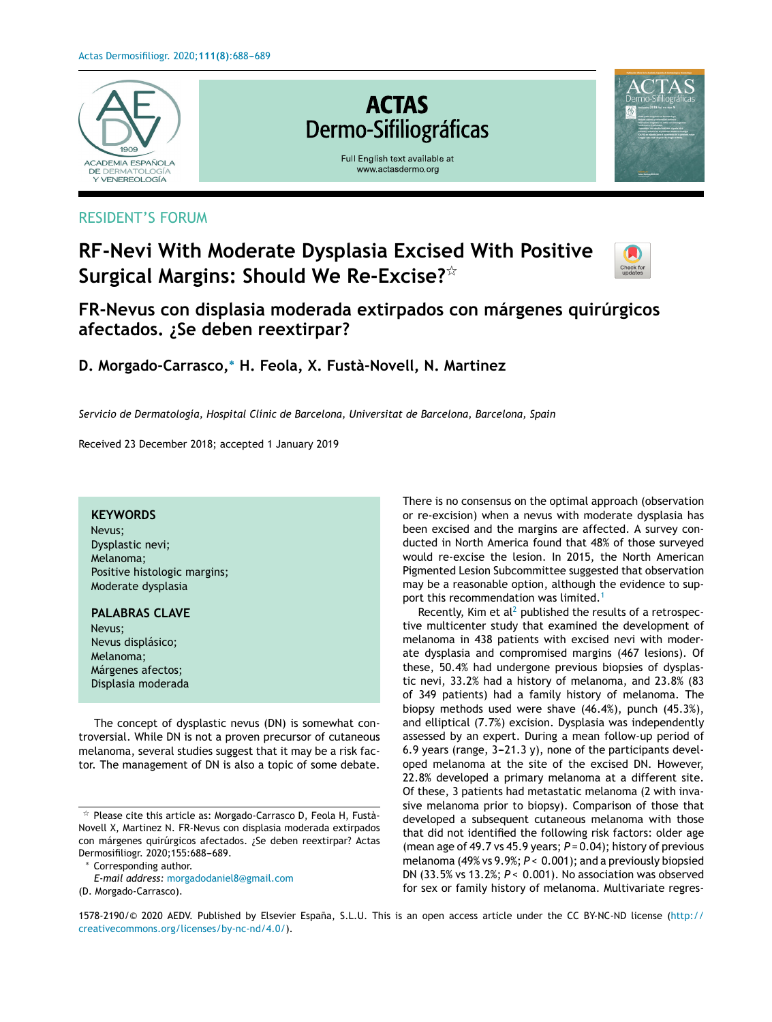

### RESIDENT'S FORUM

# **RF-Nevi With Moderate Dysplasia Excised With Positive Surgical Margins: Should We Re-Excise?**-



## **FR-Nevus con displasia moderada extirpados con márgenes quirúrgicos afectados. ¿Se deben reextirpar?**

**D. Morgado-Carrasco,**<sup>∗</sup> **H. Feola, X. Fustà-Novell, N. Martinez**

*Servicio de Dermatología, Hospital Clínic de Barcelona, Universitat de Barcelona, Barcelona, Spain*

Received 23 December 2018; accepted 1 January 2019

#### **KEYWORDS**

Nevus; Dysplastic nevi; Melanoma; Positive histologic margins; Moderate dysplasia

#### **PALABRAS CLAVE** Nevus; Nevus displásico;

Melanoma; Márgenes afectos; Displasia moderada

The concept of dysplastic nevus (DN) is somewhat controversial. While DN is not a proven precursor of cutaneous melanoma, several studies suggest that it may be a risk factor. The management of DN is also a topic of some debate.

<sup>∗</sup> Corresponding author.

There is no consensus on the optimal approach (observation or re-excision) when a nevus with moderate dysplasia has been excised and the margins are affected. A survey conducted in North America found that 48% of those surveyed would re-excise the lesion. In 2015, the North American Pigmented Lesion Subcommittee suggested that observation may be a reasonable option, although the evidence to sup-port this recommendation was limited.<sup>[1](#page-1-0)</sup>

Recently, Kim et  $al^2$  $al^2$  published the results of a retrospective multicenter study that examined the development of melanoma in 438 patients with excised nevi with moderate dysplasia and compromised margins (467 lesions). Of these, 50.4% had undergone previous biopsies of dysplastic nevi, 33.2% had a history of melanoma, and 23.8% (83 of 349 patients) had a family history of melanoma. The biopsy methods used were shave (46.4%), punch (45.3%), and elliptical (7.7%) excision. Dysplasia was independently assessed by an expert. During a mean follow-up period of 6.9 years (range,  $3-21.3$  y), none of the participants developed melanoma at the site of the excised DN. However, 22.8% developed a primary melanoma at a different site. Of these, 3 patients had metastatic melanoma (2 with invasive melanoma prior to biopsy). Comparison of those that developed a subsequent cutaneous melanoma with those that did not identified the following risk factors: older age (mean age of 49.7 vs 45.9 years; *P* = 0.04); history of previous melanoma (49% vs 9.9%; *P* < 0.001); and a previously biopsied DN (33.5% vs 13.2%; *P* < 0.001). No association was observed for sex or family history of melanoma. Multivariate regres-

1578-2190/© 2020 AEDV. Published by Elsevier España, S.L.U. This is an open access article under the CC BY-NC-ND license ([http://](http://creativecommons.org/licenses/by-nc-nd/4.0/) [creativecommons.org/licenses/by-nc-nd/4.0/](http://creativecommons.org/licenses/by-nc-nd/4.0/)).

 $\overrightarrow{r}$  Please cite this article as: Morgado-Carrasco D, Feola H, Fustà-Novell X, Martinez N. FR-Nevus con displasia moderada extirpados con márgenes quirúrgicos afectados. ¿Se deben reextirpar? Actas Dermosifiliogr. 2020;155:688-689.

*E-mail address:* [morgadodaniel8@gmail.com](mailto:morgadodaniel8@gmail.com)

<sup>(</sup>D. Morgado-Carrasco).